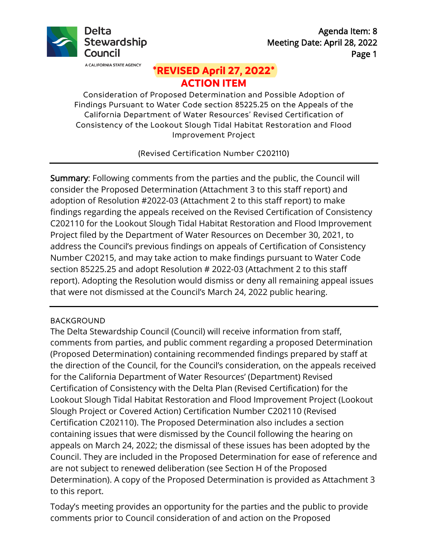

# **\*REVISED April 27, 2022\* ACTION ITEM**

Consideration of Proposed Determination and Possible Adoption of Findings Pursuant to Water Code section [85225.25](https://85225.25) on the Appeals of the California Department of Water Resources' Revised Certification of Consistency of the Lookout Slough Tidal Habitat Restoration and Flood Improvement Project

(Revised Certification Number C202110)

 consider the Proposed Determination (Attachment 3 to this staff report) and C202110 for the Lookout Slough Tidal Habitat Restoration and Flood Improvement section [85225.25](https://85225.25) and adopt Resolution # 2022-03 (Attachment 2 to this staff report). Adopting the Resolution would dismiss or deny all remaining appeal issues Summary: Following comments from the parties and the public, the Council will adoption of Resolution #2022-03 (Attachment 2 to this staff report) to make findings regarding the appeals received on the Revised Certification of Consistency Project filed by the Department of Water Resources on December 30, 2021, to address the Council's previous findings on appeals of Certification of Consistency Number C20215, and may take action to make findings pursuant to Water Code that were not dismissed at the Council's March 24, 2022 public hearing.

## BACKGROUND

 appeals on March 24, 2022; the dismissal of these issues has been adopted by the Council. They are included in the Proposed Determination for ease of reference and The Delta Stewardship Council (Council) will receive information from staff, comments from parties, and public comment regarding a proposed Determination (Proposed Determination) containing recommended findings prepared by staff at the direction of the Council, for the Council's consideration, on the appeals received for the California Department of Water Resources' (Department) Revised Certification of Consistency with the Delta Plan (Revised Certification) for the Lookout Slough Tidal Habitat Restoration and Flood Improvement Project (Lookout Slough Project or Covered Action) Certification Number C202110 (Revised Certification C202110). The Proposed Determination also includes a section containing issues that were dismissed by the Council following the hearing on are not subject to renewed deliberation (see Section H of the Proposed Determination). A copy of the Proposed Determination is provided as Attachment 3 to this report.

 comments prior to Council consideration of and action on the Proposed Today's meeting provides an opportunity for the parties and the public to provide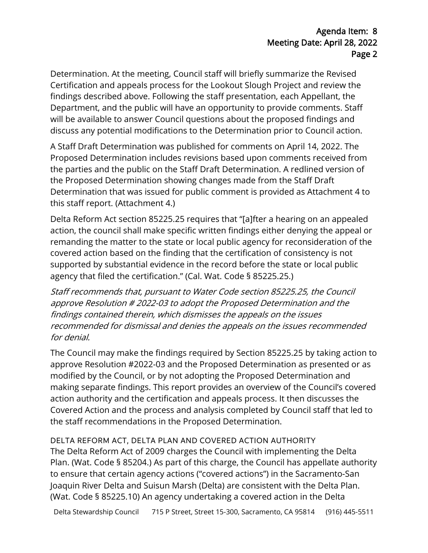Determination. At the meeting, Council staff will briefly summarize the Revised Certification and appeals process for the Lookout Slough Project and review the findings described above. Following the staff presentation, each Appellant, the Department, and the public will have an opportunity to provide comments. Staff will be available to answer Council questions about the proposed findings and discuss any potential modifications to the Determination prior to Council action.

 the parties and the public on the Staff Draft Determination. A redlined version of A Staff Draft Determination was published for comments on April 14, 2022. The Proposed Determination includes revisions based upon comments received from the Proposed Determination showing changes made from the Staff Draft Determination that was issued for public comment is provided as Attachment 4 to this staff report. (Attachment 4.)

 remanding the matter to the state or local public agency for reconsideration of the Delta Reform Act section [85225.25](https://85225.25) requires that "[a]fter a hearing on an appealed action, the council shall make specific written findings either denying the appeal or covered action based on the finding that the certification of consistency is not supported by substantial evidence in the record before the state or local public agency that filed the certification." (Cal. Wat. Code § [85225.25](https://85225.25).)

 approve Resolution # 2022-03 to adopt the Proposed Determination and the recommended for dismissal and denies the appeals on the issues recommended Staff recommends that, pursuant to Water Code section [85225.25](https://85225.25), the Council findings contained therein, which dismisses the appeals on the issues for denial.

The Council may make the findings required by Section [85225.25](https://85225.25) by taking action to approve Resolution #2022-03 and the Proposed Determination as presented or as modified by the Council, or by not adopting the Proposed Determination and making separate findings. This report provides an overview of the Council's covered action authority and the certification and appeals process. It then discusses the Covered Action and the process and analysis completed by Council staff that led to the staff recommendations in the Proposed Determination.

 Plan. (Wat. Code § 85204.) As part of this charge, the Council has appellate authority DELTA REFORM ACT, DELTA PLAN AND COVERED ACTION AUTHORITY The Delta Reform Act of 2009 charges the Council with implementing the Delta to ensure that certain agency actions ("covered actions") in the Sacramento-San Joaquin River Delta and Suisun Marsh (Delta) are consistent with the Delta Plan. (Wat. Code § [85225.10](https://85225.10)) An agency undertaking a covered action in the Delta

Delta Stewardship Council 715 P Street, Street 15-300, Sacramento, CA 95814 (916) 445-5511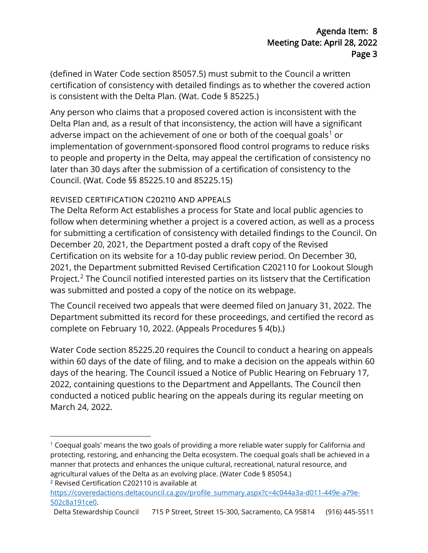(defined in Water Code section 85057.5) must submit to the Council a written certification of consistency with detailed findings as to whether the covered action is consistent with the Delta Plan. (Wat. Code § 85225.)

 Council. (Wat. Code §§ 85225.10 and 85225.15) Any person who claims that a proposed covered action is inconsistent with the Delta Plan and, as a result of that inconsistency, the action will have a significant adverse impact on the achievement of one or both of the coequal goals<sup>1</sup> or implementation of government-sponsored flood control programs to reduce risks to people and property in the Delta, may appeal the certification of consistency no later than 30 days after the submission of a certification of consistency to the

## REVISED CERTIFICATION C202110 AND APPEALS

was submitted and posted a copy of the notice on its webpage. The Delta Reform Act establishes a process for State and local public agencies to follow when determining whether a project is a covered action, as well as a process for submitting a certification of consistency with detailed findings to the Council. On December 20, 2021, the Department posted a draft copy of the Revised Certification on its website for a 10-day public review period. On December 30, 2021, the Department submitted Revised Certification C202110 for Lookout Slough Project.<sup>2</sup> The Council notified interested parties on its listserv that the Certification

 complete on February 10, 2022. (Appeals Procedures § 4(b).) The Council received two appeals that were deemed filed on January 31, 2022. The Department submitted its record for these proceedings, and certified the record as

 within 60 days of the date of filing, and to make a decision on the appeals within 60 conducted a noticed public hearing on the appeals during its regular meeting on Water Code section 85225.20 requires the Council to conduct a hearing on appeals days of the hearing. The Council issued a Notice of Public Hearing on February 17, 2022, containing questions to the Department and Appellants. The Council then March 24, 2022.

Delta Stewardship Council 715 P Street, Street 15-300, Sacramento, CA 95814 (916) 445-5511

 $^1$  Coequal goals' means the two goals of providing a more reliable water supply for California and protecting, restoring, and enhancing the Delta ecosystem. The coequal goals shall be achieved in a manner that protects and enhances the unique cultural, recreational, natural resource, and agricultural values of the Delta as an evolving place. (Water Code § 85054.) 2 Revised Certification C202110 is available at

https://coveredactions.deltacouncil.ca.gov/profile\_summary.aspx?c=4c044a3a-d011-449e-a79e-502c8a191ce0.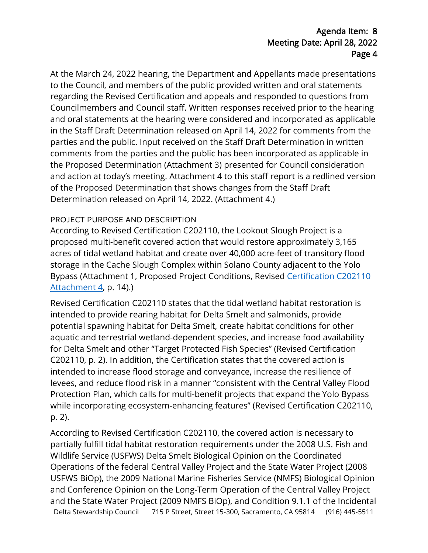At the March 24, 2022 hearing, the Department and Appellants made presentations to the Council, and members of the public provided written and oral statements regarding the Revised Certification and appeals and responded to questions from Councilmembers and Council staff. Written responses received prior to the hearing and oral statements at the hearing were considered and incorporated as applicable in the Staff Draft Determination released on April 14, 2022 for comments from the parties and the public. Input received on the Staff Draft Determination in written comments from the parties and the public has been incorporated as applicable in the Proposed Determination (Attachment 3) presented for Council consideration and action at today's meeting. Attachment 4 to this staff report is a redlined version of the Proposed Determination that shows changes from the Staff Draft Determination released on April 14, 2022. (Attachment 4.)

### PROJECT PURPOSE AND DESCRIPTION

According to Revised Certification C202110, the Lookout Slough Project is a proposed multi-benefit covered action that would restore approximately 3,165 acres of tidal wetland habitat and create over 40,000 acre-feet of transitory flood storage in the Cache Slough Complex within Solano County adjacent to the Yolo Bypass (Attachment 1, Proposed Project Conditions, Revised Certification C202110 Attachment 4, p. 14).)

 Revised Certification C202110 states that the tidal wetland habitat restoration is intended to provide rearing habitat for Delta Smelt and salmonids, provide potential spawning habitat for Delta Smelt, create habitat conditions for other aquatic and terrestrial wetland-dependent species, and increase food availability for Delta Smelt and other "Target Protected Fish Species" (Revised Certification C202110, p. 2). In addition, the Certification states that the covered action is intended to increase flood storage and conveyance, increase the resilience of levees, and reduce flood risk in a manner "consistent with the Central Valley Flood Protection Plan, which calls for multi-benefit projects that expand the Yolo Bypass while incorporating ecosystem-enhancing features" (Revised Certification C202110, p. 2).

Delta Stewardship Council 715 P Street, Street 15-300, Sacramento, CA 95814 (916) 445 -5511 According to Revised Certification C202110, the covered action is necessary to partially fulfill tidal habitat restoration requirements under the 2008 U.S. Fish and Wildlife Service (USFWS) Delta Smelt Biological Opinion on the Coordinated Operations of the federal Central Valley Project and the State Water Project (2008 USFWS BiOp), the 2009 National Marine Fisheries Service (NMFS) Biological Opinion and Conference Opinion on the Long-Term Operation of the Central Valley Project and the State Water Project (2009 NMFS BiOp), and Condition 9.1.1 of the Incidental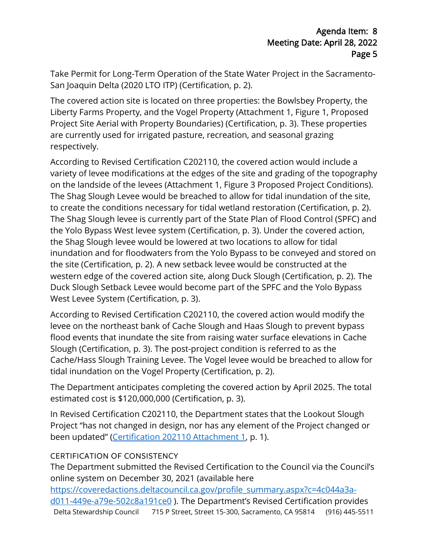Take Permit for Long-Term Operation of the State Water Project in the Sacramento-San Joaquin Delta (2020 LTO ITP) (Certification, p. 2).

The covered action site is located on three properties: the Bowlsbey Property, the Liberty Farms Property, and the Vogel Property (Attachment 1, Figure 1, Proposed Project Site Aerial with Property Boundaries) (Certification, p. 3). These properties are currently used for irrigated pasture, recreation, and seasonal grazing respectively.

 Duck Slough Setback Levee would become part of the SPFC and the Yolo Bypass West Levee System (Certification, p. 3). According to Revised Certification C202110, the covered action would include a variety of levee modifications at the edges of the site and grading of the topography on the landside of the levees (Attachment 1, Figure 3 Proposed Project Conditions). The Shag Slough Levee would be breached to allow for tidal inundation of the site, to create the conditions necessary for tidal wetland restoration (Certification, p. 2). The Shag Slough levee is currently part of the State Plan of Flood Control (SPFC) and the Yolo Bypass West levee system (Certification, p. 3). Under the covered action, the Shag Slough levee would be lowered at two locations to allow for tidal inundation and for floodwaters from the Yolo Bypass to be conveyed and stored on the site (Certification, p. 2). A new setback levee would be constructed at the western edge of the covered action site, along Duck Slough (Certification, p. 2). The

 flood events that inundate the site from raising water surface elevations in Cache According to Revised Certification C202110, the covered action would modify the levee on the northeast bank of Cache Slough and Haas Slough to prevent bypass Slough (Certification, p. 3). The post-project condition is referred to as the Cache/Hass Slough Training Levee. The Vogel levee would be breached to allow for tidal inundation on the Vogel Property (Certification, p. 2).

The Department anticipates completing the covered action by April 2025. The total estimated cost is \$120,000,000 (Certification, p. 3).

 In Revised Certification C202110, the Department states that the Lookout Slough Project "has not changed in design, nor has any element of the Project changed or been updated" (Certification 202110 Attachment 1, p. 1).

## CERTIFICATION OF CONSISTENCY

The Department submitted the Revised Certification to the Council via the Council's online system on December 30, 2021 (available here

Delta Stewardship Council 715 P Street, Street 15-300, Sacramento, CA 95814 (916) 445 -5511 https://coveredactions.deltacouncil.ca.gov/profile\_summary.aspx?c=4c044a3ad011-449e-a79e-502c8a191ce0 ). The Department's Revised Certification provides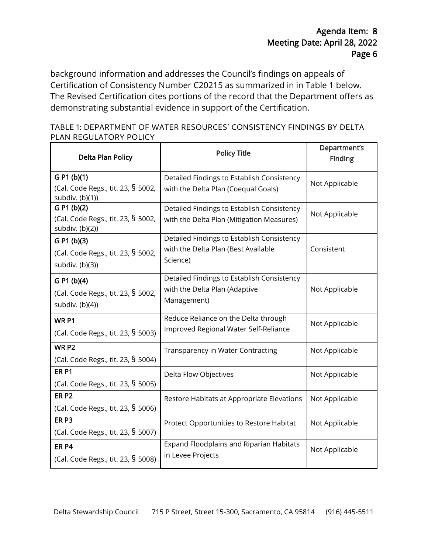Certification of Consistency Number C20215 as summarized in in Table 1 below. background information and addresses the Council's findings on appeals of The Revised Certification cites portions of the record that the Department offers as demonstrating substantial evidence in support of the Certification.

| TABLE 1: DEPARTMENT OF WATER RESOURCES' CONSISTENCY FINDINGS BY DELTA |  |  |
|-----------------------------------------------------------------------|--|--|
| PLAN REGULATORY POLICY                                                |  |  |

| Delta Plan Policy                                     | <b>Policy Title</b>                             | Department's<br><b>Finding</b> |  |
|-------------------------------------------------------|-------------------------------------------------|--------------------------------|--|
| G P1 (b)(1)                                           | Detailed Findings to Establish Consistency      | Not Applicable                 |  |
| (Cal. Code Regs., tit. 23, § 5002,<br>subdiv. (b)(1)) | with the Delta Plan (Coequal Goals)             |                                |  |
| G P1 (b)(2)                                           | Detailed Findings to Establish Consistency      | Not Applicable                 |  |
| (Cal. Code Regs., tit. 23, § 5002,<br>subdiv. (b)(2)) | with the Delta Plan (Mitigation Measures)       |                                |  |
| G P1 (b)(3)                                           | Detailed Findings to Establish Consistency      |                                |  |
| (Cal. Code Regs., tit. 23, § 5002,<br>subdiv. (b)(3)) | with the Delta Plan (Best Available<br>Science) | Consistent                     |  |
| G P1 (b)(4)                                           | Detailed Findings to Establish Consistency      |                                |  |
| (Cal. Code Regs., tit. 23, § 5002,                    | with the Delta Plan (Adaptive                   | Not Applicable                 |  |
| subdiv. (b)(4))                                       | Management)                                     |                                |  |
| WR <sub>P1</sub>                                      | Reduce Reliance on the Delta through            | Not Applicable                 |  |
| (Cal. Code Regs., tit. 23, § 5003)                    | Improved Regional Water Self-Reliance           |                                |  |
| WR P <sub>2</sub>                                     | Transparency in Water Contracting               | Not Applicable                 |  |
| (Cal. Code Regs., tit. 23, § 5004)                    |                                                 |                                |  |
| ER <sub>P1</sub>                                      | Delta Flow Objectives                           | Not Applicable                 |  |
| (Cal. Code Regs., tit. 23, § 5005)                    |                                                 |                                |  |
| ER <sub>P2</sub>                                      | Restore Habitats at Appropriate Elevations      | Not Applicable                 |  |
| (Cal. Code Regs., tit. 23, § 5006)                    |                                                 |                                |  |
| ER <sub>P3</sub>                                      | Protect Opportunities to Restore Habitat        | Not Applicable                 |  |
| (Cal. Code Regs., tit. 23, § 5007)                    |                                                 |                                |  |
| ER <sub>P4</sub>                                      | Expand Floodplains and Riparian Habitats        | Not Applicable                 |  |
| (Cal. Code Regs., tit. 23, § 5008)                    | in Levee Projects                               |                                |  |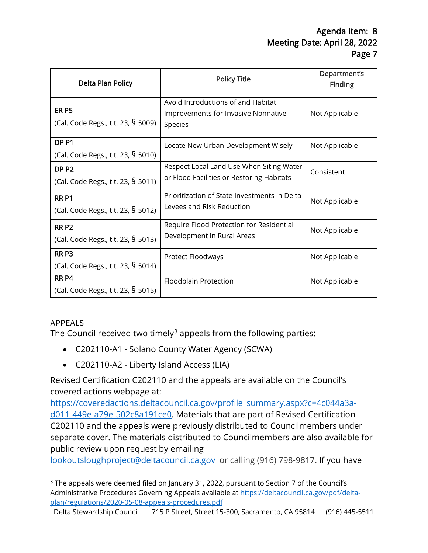| Delta Plan Policy                                      | <b>Policy Title</b>                                                                   | Department's<br><b>Finding</b> |
|--------------------------------------------------------|---------------------------------------------------------------------------------------|--------------------------------|
| ER <sub>P5</sub><br>(Cal. Code Regs., tit. 23, § 5009) | Avoid Introductions of and Habitat<br>Improvements for Invasive Nonnative<br>Species  | Not Applicable                 |
| DP <sub>P1</sub><br>(Cal. Code Regs., tit. 23, § 5010) | Locate New Urban Development Wisely                                                   | Not Applicable                 |
| DP <sub>P2</sub><br>(Cal. Code Regs., tit. 23, § 5011) | Respect Local Land Use When Siting Water<br>or Flood Facilities or Restoring Habitats | Consistent                     |
| <b>RRP1</b><br>(Cal. Code Regs., tit. 23, § 5012)      | Prioritization of State Investments in Delta<br>Levees and Risk Reduction             | Not Applicable                 |
| <b>RRP2</b><br>(Cal. Code Regs., tit. 23, § 5013)      | Require Flood Protection for Residential<br>Development in Rural Areas                | Not Applicable                 |
| RR <sub>P3</sub><br>(Cal. Code Regs., tit. 23, § 5014) | Protect Floodways                                                                     | Not Applicable                 |
| RR <sub>P4</sub><br>(Cal. Code Regs., tit. 23, § 5015) | Floodplain Protection                                                                 | Not Applicable                 |

# APPEALS

The Council received two timely $3$  appeals from the following parties:

- C202110-A1 Solano County Water Agency (SCWA)
- C202110-A2 Liberty Island Access (LIA)

Revised Certification C202110 and the appeals are available on the Council's covered actions webpage at:

 [d011-449e-a79e-502c8a191ce0.](https://coveredactions.deltacouncil.ca.gov/profile_summary.aspx?c=4c044a3a-d011-449e-a79e-502c8a191ce0) Materials that are part of Revised Certification public review upon request by emailing [https://coveredactions.deltacouncil.ca.gov/profile\\_summary.aspx?c=4c044a3a-](https://coveredactions.deltacouncil.ca.gov/profile_summary.aspx?c=4c044a3a-d011-449e-a79e-502c8a191ce0)C202110 and the appeals were previously distributed to Councilmembers under separate cover. The materials distributed to Councilmembers are also available for

[lookoutsloughproject@deltacouncil.ca.gov](mailto:lookoutsloughproject@deltacouncil.ca.gov) or calling (916) 798-9817. If you have

<span id="page-6-0"></span><sup>&</sup>lt;sup>3</sup> The appeals were deemed filed on January 31, 2022, pursuant to Section 7 of the Council's Administrative Procedures Governing Appeals available at [https://deltacouncil.ca.gov/pdf/delta](https://deltacouncil.ca.gov/pdf/delta-plan/regulations/2020-05-08-appeals-procedures.pdf)[plan/regulations/2020-05-08-appeals-procedures.pdf](https://deltacouncil.ca.gov/pdf/delta-plan/regulations/2020-05-08-appeals-procedures.pdf)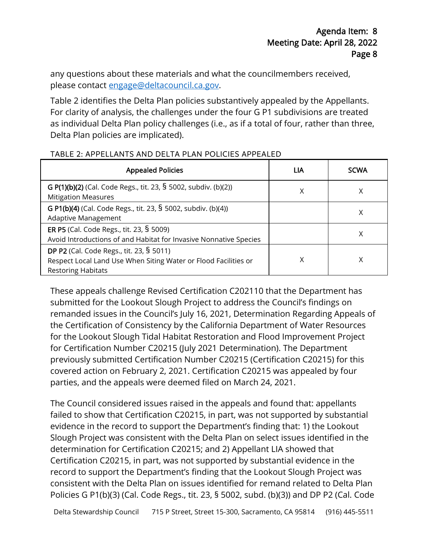any questions about these materials and what the councilmembers received, please contact [engage@deltacouncil.ca.gov.](mailto:engage@deltacouncil.ca.gov)

 as individual Delta Plan policy challenges (i.e., as if a total of four, rather than three, Table 2 identifies the Delta Plan policies substantively appealed by the Appellants. For clarity of analysis, the challenges under the four G P1 subdivisions are treated Delta Plan policies are implicated).

| <b>Appealed Policies</b>                                                                                                                 | LIA | <b>SCWA</b> |
|------------------------------------------------------------------------------------------------------------------------------------------|-----|-------------|
| G P(1)(b)(2) (Cal. Code Regs., tit. 23, § 5002, subdiv. (b)(2))<br><b>Mitigation Measures</b>                                            | Χ   | Χ           |
| G P1(b)(4) (Cal. Code Regs., tit. 23, § 5002, subdiv. (b)(4))<br>Adaptive Management                                                     |     | Χ           |
| ER P5 (Cal. Code Regs., tit. 23, § 5009)<br>Avoid Introductions of and Habitat for Invasive Nonnative Species                            |     | Χ           |
| DP P2 (Cal. Code Regs., tit. 23, § 5011)<br>Respect Local Land Use When Siting Water or Flood Facilities or<br><b>Restoring Habitats</b> | Χ   | Χ           |

#### TABLE 2: APPELLANTS AND DELTA PLAN POLICIES APPEALED

 parties, and the appeals were deemed filed on March 24, 2021. These appeals challenge Revised Certification C202110 that the Department has submitted for the Lookout Slough Project to address the Council's findings on remanded issues in the Council's July 16, 2021, Determination Regarding Appeals of the Certification of Consistency by the California Department of Water Resources for the Lookout Slough Tidal Habitat Restoration and Flood Improvement Project for Certification Number C20215 (July 2021 Determination). The Department previously submitted Certification Number C20215 (Certification C20215) for this covered action on February 2, 2021. Certification C20215 was appealed by four

 failed to show that Certification C20215, in part, was not supported by substantial determination for Certification C20215; and 2) Appellant LIA showed that Certification C20215, in part, was not supported by substantial evidence in the The Council considered issues raised in the appeals and found that: appellants evidence in the record to support the Department's finding that: 1) the Lookout Slough Project was consistent with the Delta Plan on select issues identified in the record to support the Department's finding that the Lookout Slough Project was consistent with the Delta Plan on issues identified for remand related to Delta Plan Policies G P1(b)(3) (Cal. Code Regs., tit. 23, § 5002, subd. (b)(3)) and DP P2 (Cal. Code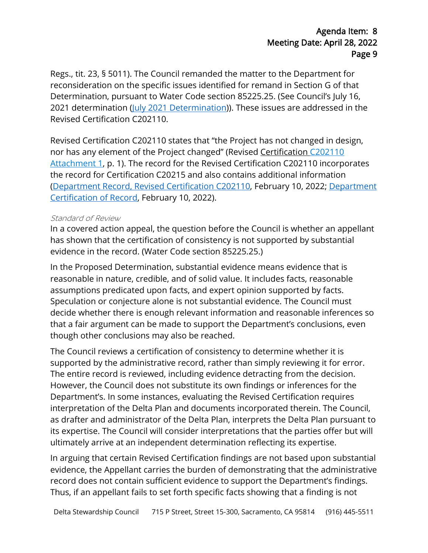Regs., tit. 23, § 5011). The Council remanded the matter to the Department for reconsideration on the specific issues identified for remand in Section G of that Determination, pursuant to Water Code section [85225.25](https://85225.25). (See Council's July 16, 2021 determination [\(July 2021 Determination\)](https://coveredactions.deltacouncil.ca.gov/services/download.ashx?u=733d4675-89d1-499c-a3ad-450cd72d5526)). These issues are addressed in the Revised Certification C202110.

 Revised Certification C202110 states that "the Project has not changed in design, nor has any element of the Project changed" (Revised [Certification C202110](https://coveredactions.deltacouncil.ca.gov/services/download.ashx?u=a42de348-a08f-4e1a-b379-6798890133c6)  [Attachment 1,](https://coveredactions.deltacouncil.ca.gov/services/download.ashx?u=a42de348-a08f-4e1a-b379-6798890133c6) p. 1). The record for the Revised Certification C202110 incorporates the record for Certification C20215 and also contains additional information [\(Department Record, Revised Certification C202110,](https://deltacouncil.app.box.com/s/ef2of4n4uo7xda2xmpb29xrlkix5qzrw) February 10, 2022; [Department](https://coveredactions.deltacouncil.ca.gov/services/download.ashx?u=400b5505-6789-4f70-b23e-044014e04fdb)  [Certification of Record,](https://coveredactions.deltacouncil.ca.gov/services/download.ashx?u=400b5505-6789-4f70-b23e-044014e04fdb) February 10, 2022).

#### Standard of Review

In a covered action appeal, the question before the Council is whether an appellant has shown that the certification of consistency is not supported by substantial evidence in the record. (Water Code section [85225.25](https://85225.25).)

though other conclusions may also be reached. In the Proposed Determination, substantial evidence means evidence that is reasonable in nature, credible, and of solid value. It includes facts, reasonable assumptions predicated upon facts, and expert opinion supported by facts. Speculation or conjecture alone is not substantial evidence. The Council must decide whether there is enough relevant information and reasonable inferences so that a fair argument can be made to support the Department's conclusions, even

The entire record is reviewed, including evidence detracting from the decision. interpretation of the Delta Plan and documents incorporated therein. The Council, ultimately arrive at an independent determination reflecting its expertise. The Council reviews a certification of consistency to determine whether it is supported by the administrative record, rather than simply reviewing it for error. However, the Council does not substitute its own findings or inferences for the Department's. In some instances, evaluating the Revised Certification requires as drafter and administrator of the Delta Plan, interprets the Delta Plan pursuant to its expertise. The Council will consider interpretations that the parties offer but will

In arguing that certain Revised Certification findings are not based upon substantial evidence, the Appellant carries the burden of demonstrating that the administrative record does not contain sufficient evidence to support the Department's findings. Thus, if an appellant fails to set forth specific facts showing that a finding is not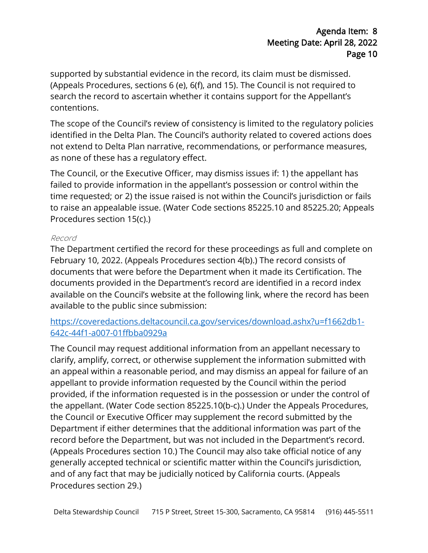supported by substantial evidence in the record, its claim must be dismissed. (Appeals Procedures, sections 6 (e), 6(f), and 15). The Council is not required to search the record to ascertain whether it contains support for the Appellant's contentions.

The scope of the Council's review of consistency is limited to the regulatory policies identified in the Delta Plan. The Council's authority related to covered actions does not extend to Delta Plan narrative, recommendations, or performance measures, as none of these has a regulatory effect.

 time requested; or 2) the issue raised is not within the Council's jurisdiction or fails to raise an appealable issue. (Water Code sections [85225.10](https://85225.10) and [85225.20;](https://85225.20) Appeals The Council, or the Executive Officer, may dismiss issues if: 1) the appellant has failed to provide information in the appellant's possession or control within the Procedures section 15(c).)

#### Record

 available on the Council's website at the following link, where the record has been The Department certified the record for these proceedings as full and complete on February 10, 2022. (Appeals Procedures section 4(b).) The record consists of documents that were before the Department when it made its Certification. The documents provided in the Department's record are identified in a record index available to the public since submission:

## [https://coveredactions.deltacouncil.ca.gov/services/download.ashx?u=f1662db1-](https://coveredactions.deltacouncil.ca.gov/services/download.ashx?u=f1662db1-642c-44f1-a007-01ffbba0929a) [642c-44f1-a007-01ffbba0929a](https://coveredactions.deltacouncil.ca.gov/services/download.ashx?u=f1662db1-642c-44f1-a007-01ffbba0929a)

 an appeal within a reasonable period, and may dismiss an appeal for failure of an The Council may request additional information from an appellant necessary to clarify, amplify, correct, or otherwise supplement the information submitted with appellant to provide information requested by the Council within the period provided, if the information requested is in the possession or under the control of the appellant. (Water Code section 85225.10(b-c).) Under the Appeals Procedures, the Council or Executive Officer may supplement the record submitted by the Department if either determines that the additional information was part of the record before the Department, but was not included in the Department's record. (Appeals Procedures section 10.) The Council may also take official notice of any generally accepted technical or scientific matter within the Council's jurisdiction, and of any fact that may be judicially noticed by California courts. (Appeals Procedures section 29.)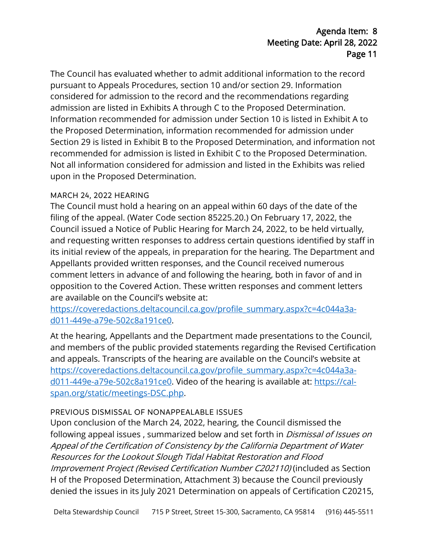admission are listed in Exhibits A through C to the Proposed Determination. Section 29 is listed in Exhibit B to the Proposed Determination, and information not The Council has evaluated whether to admit additional information to the record pursuant to Appeals Procedures, section 10 and/or section 29. Information considered for admission to the record and the recommendations regarding Information recommended for admission under Section 10 is listed in Exhibit A to the Proposed Determination, information recommended for admission under recommended for admission is listed in Exhibit C to the Proposed Determination. Not all information considered for admission and listed in the Exhibits was relied upon in the Proposed Determination.

### MARCH 24, 2022 HEARING

 are available on the Council's website at: The Council must hold a hearing on an appeal within 60 days of the date of the filing of the appeal. (Water Code section [85225.20.](https://85225.20)) On February 17, 2022, the Council issued a Notice of Public Hearing for March 24, 2022, to be held virtually, and requesting written responses to address certain questions identified by staff in its initial review of the appeals, in preparation for the hearing. The Department and Appellants provided written responses, and the Council received numerous comment letters in advance of and following the hearing, both in favor of and in opposition to the Covered Action. These written responses and comment letters

[https://coveredactions.deltacouncil.ca.gov/profile\\_summary.aspx?c=4c044a3a](https://coveredactions.deltacouncil.ca.gov/profile_summary.aspx?c=4c044a3a-d011-449e-a79e-502c8a191ce0)[d011-449e-a79e-502c8a191ce0.](https://coveredactions.deltacouncil.ca.gov/profile_summary.aspx?c=4c044a3a-d011-449e-a79e-502c8a191ce0)

 [d011-449e-a79e-502c8a191ce0.](https://coveredactions.deltacouncil.ca.gov/profile_summary.aspx?c=4c044a3a-d011-449e-a79e-502c8a191ce0) Video of the hearing is available at: [https://cal-](https://cal-span.org/static/meetings-DSC.php)At the hearing, Appellants and the Department made presentations to the Council, and members of the public provided statements regarding the Revised Certification and appeals. Transcripts of the hearing are available on the Council's website at [https://coveredactions.deltacouncil.ca.gov/profile\\_summary.aspx?c=4c044a3a](https://coveredactions.deltacouncil.ca.gov/profile_summary.aspx?c=4c044a3a-d011-449e-a79e-502c8a191ce0)[span.org/static/meetings-DSC.php.](https://cal-span.org/static/meetings-DSC.php)

### PREVIOUS DISMISSAL OF NONAPPEALABLE ISSUES

 Appeal of the Certification of Consistency by the California Department of Water denied the issues in its July 2021 Determination on appeals of Certification C20215, Upon conclusion of the March 24, 2022, hearing, the Council dismissed the following appeal issues, summarized below and set forth in *Dismissal of Issues on* Resources for the Lookout Slough Tidal Habitat Restoration and Flood Improvement Project (Revised Certification Number C202110) (included as Section H of the Proposed Determination, Attachment 3) because the Council previously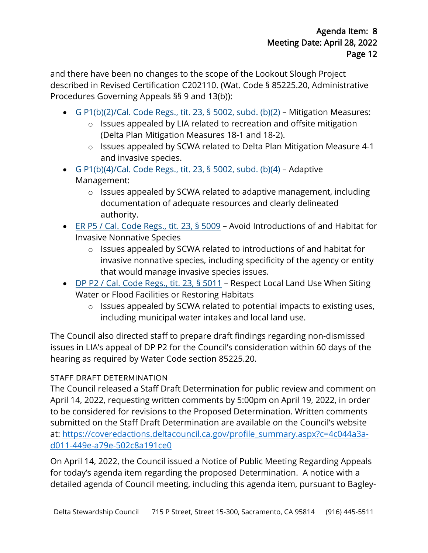and there have been no changes to the scope of the Lookout Slough Project described in Revised Certification C202110. (Wat. Code § [85225.20](https://85225.20), Administrative Procedures Governing Appeals §§ 9 and 13(b)):

- [G P1\(b\)\(2\)/Cal. Code Regs., tit. 23, § 5002, subd. \(b\)\(2\)](https://govt.westlaw.com/calregs/Document/I7B187DE2730446A492AFBE884DD2703C?viewType=FullText&originationContext=documenttoc&transitionType=CategoryPageItem&contextData=(sc.Default))  Mitigation Measures:
	- o Issues appealed by LIA related to recreation and offsite mitigation (Delta Plan Mitigation Measures 18-1 and 18-2).
	- and invasive species. o Issues appealed by SCWA related to Delta Plan Mitigation Measure 4-1
- $\cdot$  [G P1\(b\)\(4\)/Cal. Code Regs., tit. 23, § 5002, subd. \(b\)\(4\)](https://govt.westlaw.com/calregs/Document/I7B187DE2730446A492AFBE884DD2703C?viewType=FullText&originationContext=documenttoc&transitionType=CategoryPageItem&contextData=(sc.Default))  Adaptive Management:
	- o Issues appealed by SCWA related to adaptive management, including documentation of adequate resources and clearly delineated authority.
- [ER P5 / Cal. Code Regs., tit. 23, § 5009](https://govt.westlaw.com/calregs/Document/I21C796D007AA11E39A73EBDA152904D8?viewType=FullText&originationContext=documenttoc&transitionType=CategoryPageItem&contextData=(sc.Default))  Avoid Introductions of and Habitat for Invasive Nonnative Species
	- o Issues appealed by SCWA related to introductions of and habitat for invasive nonnative species, including specificity of the agency or entity that would manage invasive species issues.
- Water or Flood Facilities or Restoring Habitats • [DP P2 / Cal. Code Regs., tit. 23, § 5011](https://govt.westlaw.com/calregs/Document/I2228547007AA11E39A73EBDA152904D8?viewType=FullText&originationContext=documenttoc&transitionType=CategoryPageItem&contextData=(sc.Default)) - Respect Local Land Use When Siting
	- o Issues appealed by SCWA related to potential impacts to existing uses, including municipal water intakes and local land use.

The Council also directed staff to prepare draft findings regarding non-dismissed issues in LIA's appeal of DP P2 for the Council's consideration within 60 days of the hearing as required by Water Code section [85225.20](https://85225.20).

# STAFF DRAFT DETERMINATION

 April 14, 2022, requesting written comments by 5:00pm on April 19, 2022, in order The Council released a Staff Draft Determination for public review and comment on to be considered for revisions to the Proposed Determination. Written comments submitted on the Staff Draft Determination are available on the Council's website at: [https://coveredactions.deltacouncil.ca.gov/profile\\_summary.aspx?c=4c044a3a](https://coveredactions.deltacouncil.ca.gov/profile_summary.aspx?c=4c044a3a-d011-449e-a79e-502c8a191ce0)[d011-449e-a79e-502c8a191ce0](https://coveredactions.deltacouncil.ca.gov/profile_summary.aspx?c=4c044a3a-d011-449e-a79e-502c8a191ce0) 

 for today's agenda item regarding the proposed Determination. A notice with a On April 14, 2022, the Council issued a Notice of Public Meeting Regarding Appeals detailed agenda of Council meeting, including this agenda item, pursuant to Bagley-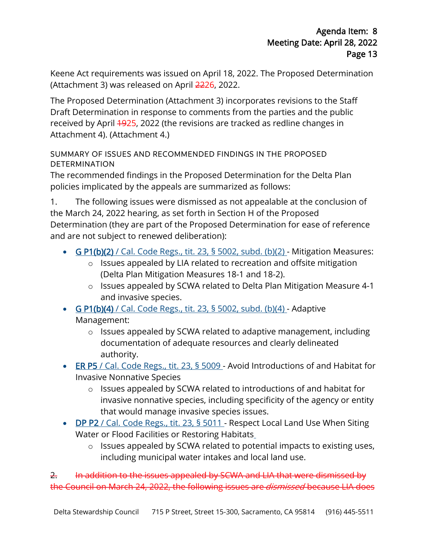Keene Act requirements was issued on April 18, 2022. The Proposed Determination (Attachment 3) was released on April 2226, 2022.

 Draft Determination in response to comments from the parties and the public Attachment 4). (Attachment 4.) The Proposed Determination (Attachment 3) incorporates revisions to the Staff received by April 4925, 2022 (the revisions are tracked as redline changes in

## SUMMARY OF ISSUES AND RECOMMENDED FINDINGS IN THE PROPOSED DETERMINATION

The recommended findings in the Proposed Determination for the Delta Plan policies implicated by the appeals are summarized as follows:

 1. The following issues were dismissed as not appealable at the conclusion of Determination (they are part of the Proposed Determination for ease of reference the March 24, 2022 hearing, as set forth in Section H of the Proposed and are not subject to renewed deliberation):

- [G P1\(b\)\(2\) / Cal. Code Regs., tit. 23, § 5002, subd. \(b\)\(2\)](https://govt.westlaw.com/calregs/Document/I7B187DE2730446A492AFBE884DD2703C?viewType=FullText&originationContext=documenttoc&transitionType=CategoryPageItem&contextData=(sc.Default))  Mitigation Measures:
	- o Issues appealed by LIA related to recreation and offsite mitigation (Delta Plan Mitigation Measures 18-1 and 18-2).
	- o Issues appealed by SCWA related to Delta Plan Mitigation Measure 4-1 and invasive species.
- G  $P1(b)(4)$  / Cal. Code Regs., tit. 23, § 5002, subd. (b)(4) Adaptive Management:
	- o Issues appealed by SCWA related to adaptive management, including documentation of adequate resources and clearly delineated authority.
- [ER P5 / Cal. Code Regs., tit. 23, § 5009](https://govt.westlaw.com/calregs/Document/I21C796D007AA11E39A73EBDA152904D8?viewType=FullText&originationContext=documenttoc&transitionType=CategoryPageItem&contextData=(sc.Default))  Avoid Introductions of and Habitat for Invasive Nonnative Species
	- o Issues appealed by SCWA related to introductions of and habitat for invasive nonnative species, including specificity of the agency or entity that would manage invasive species issues.
- [DP P2 / Cal. Code Regs., tit. 23, § 5011](https://govt.westlaw.com/calregs/Document/I2228547007AA11E39A73EBDA152904D8?viewType=FullText&originationContext=documenttoc&transitionType=CategoryPageItem&contextData=(sc.Default))  Respect Local Land Use When Siting Water or Flood Facilities or Restoring Habitats
	- o Issues appealed by SCWA related to potential impacts to existing uses, including municipal water intakes and local land use.

the Council on March 24, 2022, the following issues are *dismissed* because LIA does 2. In addition to the issues appealed by SCWA and LIA that were dismissed by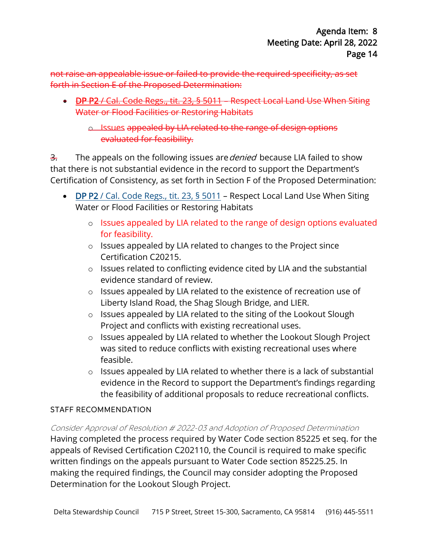not raise an appealable issue or failed to provide the required specificity, as set forth in Section E of the Proposed Determination:

• [DP P2 / Cal. Code Regs., tit. 23, § 5011](https://govt.westlaw.com/calregs/Document/I2228547007AA11E39A73EBDA152904D8?viewType=FullText&originationContext=documenttoc&transitionType=CategoryPageItem&contextData=(sc.Default)) – Respect Local Land Use When Siting Water or Flood Facilities or Restoring Habitats

o Issues appealed by LIA related to the range of design options evaluated for feasibility.

<del>3.</del> The appeals on the following issues are*denied* because LIA failed to show that there is not substantial evidence in the record to support the Department's Certification of Consistency, as set forth in Section F of the Proposed Determination:

- DP P2 / Cal. Code Regs., tit. 23, § 5011 Respect Local Land Use When Siting [Water or Flood Facilities or Restoring H](https://govt.westlaw.com/calregs/Document/I2228547007AA11E39A73EBDA152904D8?viewType=FullText&originationContext=documenttoc&transitionType=CategoryPageItem&contextData=(sc.Default))abitats
	- o Issues appealed by LIA related to the range of design options evaluated for feasibility.
	- o Issues appealed by LIA related to changes to the Project since Certification C20215.
	- o Issues related to conflicting evidence cited by LIA and the substantial evidence standard of review.
	- Liberty Island Road, the Shag Slough Bridge, and LIER. o Issues appealed by LIA related to the existence of recreation use of
	- o Issues appealed by LIA related to the siting of the Lookout Slough Project and conflicts with existing recreational uses.
	- o Issues appealed by LIA related to whether the Lookout Slough Project was sited to reduce conflicts with existing recreational uses where feasible.
	- o Issues appealed by LIA related to whether there is a lack of substantial evidence in the Record to support the Department's findings regarding the feasibility of additional proposals to reduce recreational conflicts.

## STAFF RECOMMENDATION

Consider Approval of Resolution # 2022-03 and Adoption of Proposed Determination

Having completed the process required by Water Code section 85225 et seq. for the appeals of Revised Certification C202110, the Council is required to make specific written findings on the appeals pursuant to Water Code section [85225.25](https://85225.25). In making the required findings, the Council may consider adopting the Proposed Determination for the Lookout Slough Project.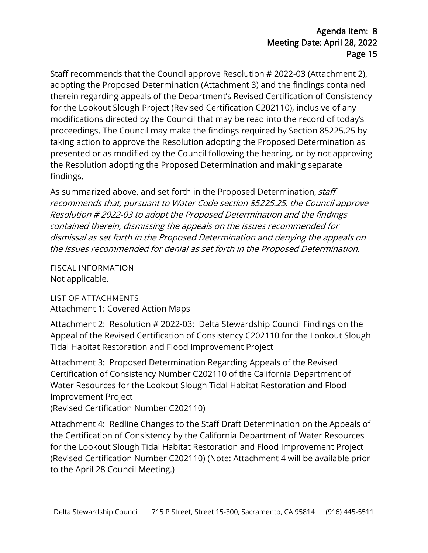proceedings. The Council may make the findings required by Section [85225.25](https://85225.25) by Staff recommends that the Council approve Resolution # 2022-03 (Attachment 2), adopting the Proposed Determination (Attachment 3) and the findings contained therein regarding appeals of the Department's Revised Certification of Consistency for the Lookout Slough Project (Revised Certification C202110), inclusive of any modifications directed by the Council that may be read into the record of today's taking action to approve the Resolution adopting the Proposed Determination as presented or as modified by the Council following the hearing, or by not approving the Resolution adopting the Proposed Determination and making separate findings.

As summarized above, and set forth in the Proposed Determination, staff recommends that, pursuant to Water Code secti[on 85225.25,](https://85225.25) the Council approve Resolution # 2022-03 to adopt the Proposed Determination and the findings contained therein, dismissing the appeals on the issues recommended for dismissal as set forth in the Proposed Determination and denying the appeals on the issues recommended for denial as set forth in the Proposed Determination.

FISCAL INFORMATION Not applicable.

LIST OF ATTACHMENTS Attachment 1: Covered Action Maps

 Appeal of the Revised Certification of Consistency C202110 for the Lookout Slough Attachment 2: Resolution # 2022-03: Delta Stewardship Council Findings on the Tidal Habitat Restoration and Flood Improvement Project

 Attachment 3: Proposed Determination Regarding Appeals of the Revised Certification of Consistency Number C202110 of the California Department of Water Resources for the Lookout Slough Tidal Habitat Restoration and Flood Improvement Project

(Revised Certification Number C202110)

 Attachment 4: Redline Changes to the Staff Draft Determination on the Appeals of for the Lookout Slough Tidal Habitat Restoration and Flood Improvement Project the Certification of Consistency by the California Department of Water Resources (Revised Certification Number C202110) (Note: Attachment 4 will be available prior to the April 28 Council Meeting.)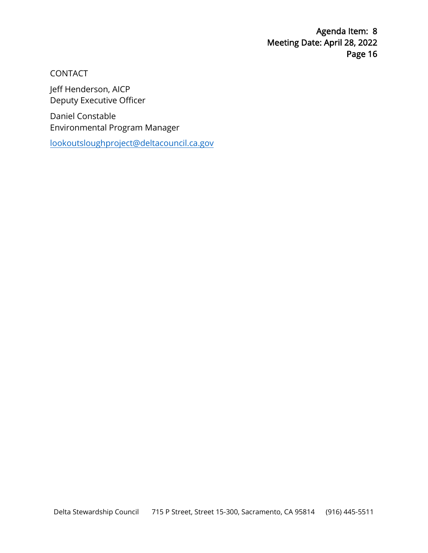CONTACT

Jeff Henderson, AICP [Deputy Executive Officer](mailto:lookoutsloughproject@deltacouncil.ca.gov) 

Daniel Constable Environmental Program Manager

lookoutsloughproject@deltacouncil.ca.gov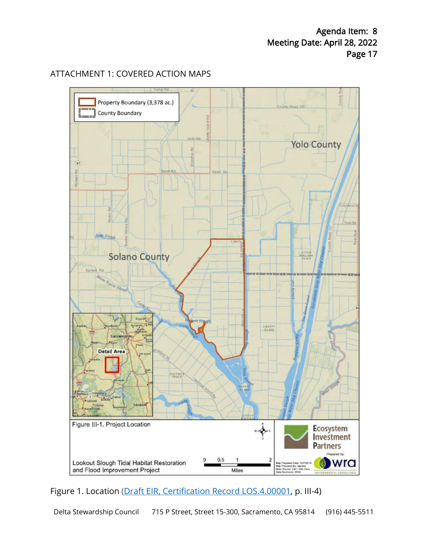### ATTACHMENT 1: COVERED ACTION MAPS



Figure 1. Location [\(Draft EIR, Certification Record LOS.4.00001,](https://coveredactions.deltacouncil.ca.gov/services/download.ashx?u=ea88d3d9-bf11-4036-b046-0d3cf3a37be4) p. III-4)

Delta Stewardship Council 715 P Street, Street 15-300, Sacramento, CA 95814 (916) 445 -5511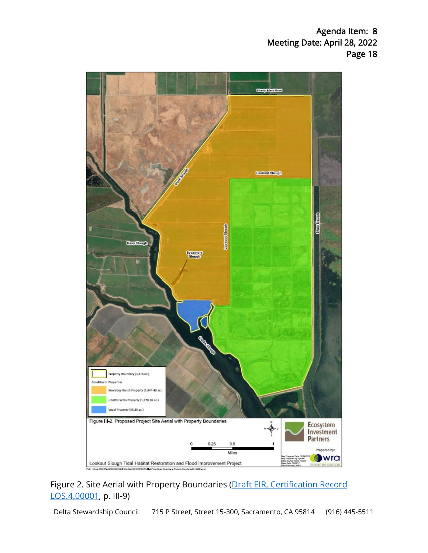

Figure 2. Site Aerial with Property Boundaries (Draft EIR, Certification Record [LOS.4.00001,](https://coveredactions.deltacouncil.ca.gov/services/download.ashx?u=ea88d3d9-bf11-4036-b046-0d3cf3a37be4) p. III-9)

Delta Stewardship Council 715 P Street, Street 15-300, Sacramento, CA 95814 (916) 445-5511